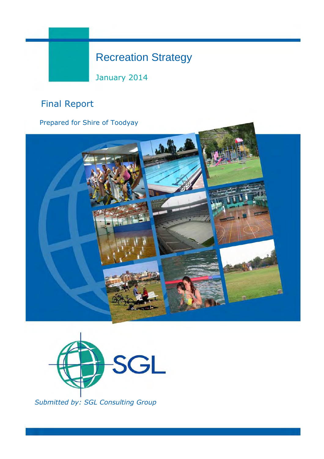# Recreation Strategy

January 2014

# Final Report

Prepared for Shire of Toodyay





Submitted by: SGL Consulting Group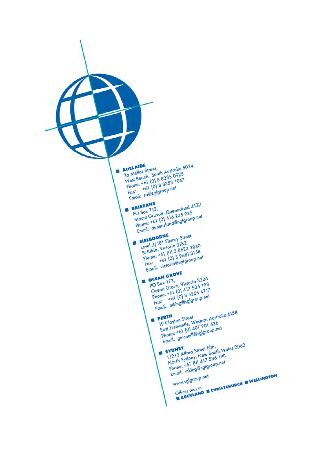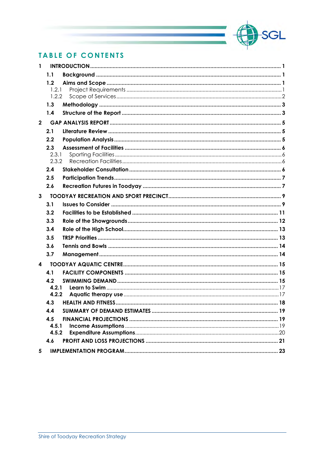

# **TABLE OF CONTENTS**

| 1              |              |  |
|----------------|--------------|--|
|                | 1.1          |  |
|                | 1.2          |  |
|                | 1.2.1        |  |
|                | 1.2.2        |  |
|                | 1.3          |  |
|                | 1.4          |  |
| $\overline{2}$ |              |  |
|                | 2.1          |  |
|                | 2.2          |  |
|                | 2.3          |  |
|                | 2.3.1        |  |
|                | 2.3.2<br>2.4 |  |
|                |              |  |
|                | 2.5          |  |
|                | 2.6          |  |
| $\mathbf{3}$   |              |  |
|                | 3.1          |  |
|                | 3.2          |  |
|                | 3.3          |  |
|                | 3.4          |  |
|                | 3.5          |  |
|                | 3.6          |  |
|                | 3.7          |  |
| 4              |              |  |
|                | 4.1          |  |
|                | 4.2          |  |
|                | 4.2.1        |  |
|                | 4.2.2        |  |
|                | 4.3          |  |
|                | 4.4          |  |
|                | 4.5          |  |
|                | 4.5.1        |  |
|                | 4.5.2        |  |
|                | 4.6          |  |
| 5              |              |  |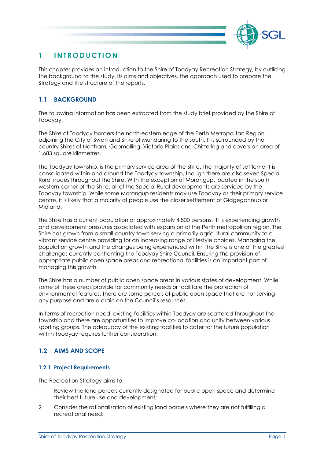

# 1 INTRODUCTION

This chapter provides an introduction to the Shire of Toodyay Recreation Strategy, by outlining the background to the study, its aims and objectives, the approach used to prepare the Strategy and the structure of the reports.

# 1.1 BACKGROUND

The following information has been extracted from the study brief provided by the Shire of Toodyay.

The Shire of Toodyay borders the north-eastern edge of the Perth Metropolitan Region, adjoining the City of Swan and Shire of Mundaring to the south. It is surrounded by the country Shires of Northam, Goomalling, Victoria Plains and Chittering and covers an area of 1,683 square kilometres.

The Toodyay township, is the primary service area of the Shire. The majority of settlement is consolidated within and around the Toodyay township, though there are also seven Special Rural nodes throughout the Shire. With the exception of Morangup, located in the south western corner of the Shire, all of the Special Rural developments are serviced by the Toodyay township. While some Morangup residents may use Toodyay as their primary service centre, it is likely that a majority of people use the closer settlement of Gidgegannup or Midland.

The Shire has a current population of approximately 4,800 persons. It is experiencing growth and development pressures associated with expansion of the Perth metropolitan region. The Shire has grown from a small country town serving a primarily agricultural community to a vibrant service centre providing for an increasing range of lifestyle choices. Managing the population growth and the changes being experienced within the Shire is one of the greatest challenges currently confronting the Toodyay Shire Council. Ensuring the provision of appropriate public open space areas and recreational facilities is an important part of managing this growth.

The Shire has a number of public open space areas in various states of development. While some of these areas provide for community needs or facilitate the protection of environmental features, there are some parcels of public open space that are not serving any purpose and are a drain on the Council's resources.

In terms of recreation need, existing facilities within Toodyay are scattered throughout the township and there are opportunities to improve co-location and unity between various sporting groups. The adequacy of the existing facilities to cater for the future population within Toodyay requires further consideration.

# 1.2 AIMS AND SCOPE

#### 1.2.1 Project Requirements

The Recreation Strategy aims to:

- 1 Review the land parcels currently designated for public open space and determine their best future use and development;
- 2 Consider the rationalisation of existing land parcels where they are not fulfilling a recreational need;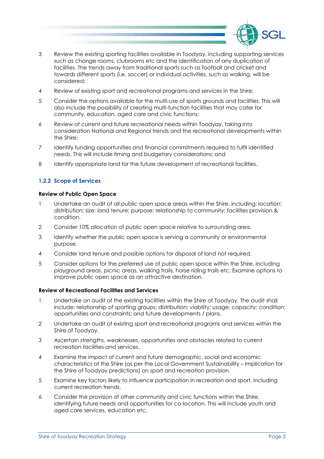

- 3 Review the existing sporting facilities available in Toodyay, including supporting services such as change rooms, clubrooms etc and the identification of any duplication of facilities. The trends away from traditional sports such as football and cricket and towards different sports (i.e. soccer) or individual activities, such as walking, will be considered;
- 4 Review of existing sport and recreational programs and services in the Shire;
- 5 Consider the options available for the multi-use of sports grounds and facilities. This will also include the possibility of creating multi-function facilities that may cater for community, education, aged care and civic functions;
- 6 Review of current and future recreational needs within Toodyay, taking into consideration National and Regional trends and the recreational developments within the Shire;
- 7 Identify funding opportunities and financial commitments required to fulfil identified needs. This will include timing and budgetary considerations; and
- 8 Identify appropriate land for the future development of recreational facilities.

#### 1.2.2 Scope of Services

#### Review of Public Open Space

- 1 Undertake an audit of all public open space areas within the Shire, including: location; distribution; size; land tenure; purpose; relationship to community; facilities provision & condition.
- 2 Consider 10% allocation of public open space relative to surrounding area.
- 3 Identify whether the public open space is serving a community or environmental purpose.
- 4 Consider land tenure and possible options for disposal of land not required.
- 5 Consider options for the preferred use of public open space within the Shire, including playground areas, picnic areas, walking trails, horse riding trails etc. Examine options to improve public open space as an attractive destination.

#### Review of Recreational Facilities and Services

- 1 Undertake an audit of the existing facilities within the Shire of Toodyay. The audit shall include: relationship of sporting groups; distribution; viability; usage; capacity; condition; opportunities and constraints; and future developments / plans.
- 2 Undertake an audit of existing sport and recreational programs and services within the Shire of Toodyay.
- 3 Ascertain strengths, weaknesses, opportunities and obstacles related to current recreation facilities and services.
- 4 Examine the impact of current and future demographic, social and economic characteristics of the Shire (as per the Local Government Sustainability – Implication for the Shire of Toodyay predictions) on sport and recreation provision.
- 5 Examine key factors likely to influence participation in recreation and sport, including current recreation trends.
- 6 Consider the provision of other community and civic functions within the Shire, identifying future needs and opportunities for co-location. This will include youth and aged care services, education etc.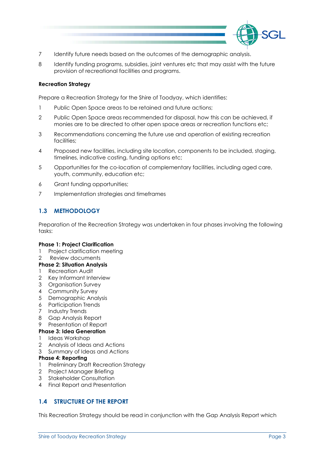

- 7 Identify future needs based on the outcomes of the demographic analysis.
- 8 Identify funding programs, subsidies, joint ventures etc that may assist with the future provision of recreational facilities and programs.

#### Recreation Strategy

Prepare a Recreation Strategy for the Shire of Toodyay, which identifies:

- 1 Public Open Space areas to be retained and future actions;
- 2 Public Open Space areas recommended for disposal, how this can be achieved, if monies are to be directed to other open space areas or recreation functions etc;
- 3 Recommendations concerning the future use and operation of existing recreation facilities;
- 4 Proposed new facilities, including site location, components to be included, staging, timelines, indicative costing, funding options etc;
- 5 Opportunities for the co-location of complementary facilities, including aged care, youth, community, education etc;
- 6 Grant funding opportunities;
- 7 Implementation strategies and timeframes

# 1.3 METHODOLOGY

Preparation of the Recreation Strategy was undertaken in four phases involving the following tasks:

#### Phase 1: Project Clarification

1 Project clarification meeting

#### 2 Review documents

- Phase 2: Situation Analysis
- 1 Recreation Audit
- 2 Key Informant Interview
- 3 Organisation Survey
- 4 Community Survey
- 5 Demographic Analysis
- 6 Participation Trends
- 7 Industry Trends
- 8 Gap Analysis Report
- 9 Presentation of Report

#### Phase 3: Idea Generation

- 1 Ideas Workshop
- 2 Analysis of Ideas and Actions
- 3 Summary of Ideas and Actions

#### Phase 4: Reporting

- 1 Preliminary Draft Recreation Strategy
- 2 Project Manager Briefing
- 3 Stakeholder Consultation
- 4 Final Report and Presentation

# 1.4 STRUCTURE OF THE REPORT

This Recreation Strategy should be read in conjunction with the Gap Analysis Report which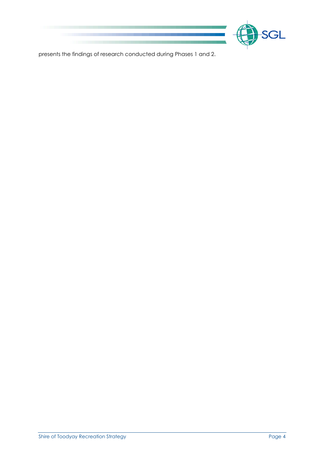

presents the findings of research conducted during Phases 1 and 2.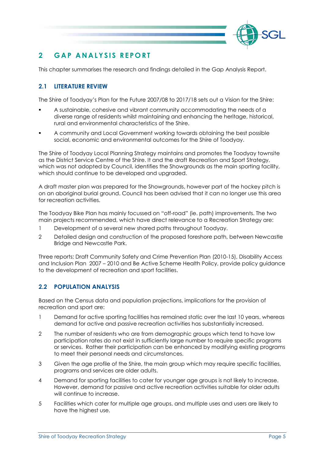

# 2 GAP ANALYSIS REPORT

This chapter summarises the research and findings detailed in the Gap Analysis Report.

# 2.1 LITERATURE REVIEW

The Shire of Toodyay's Plan for the Future 2007/08 to 2017/18 sets out a Vision for the Shire:

- A sustainable, cohesive and vibrant community accommodating the needs of a diverse range of residents whilst maintaining and enhancing the heritage, historical, rural and environmental characteristics of the Shire.
- A community and Local Government working towards obtaining the best possible social, economic and environmental outcomes for the Shire of Toodyay.

The Shire of Toodyay Local Planning Strategy maintains and promotes the Toodyay townsite as the District Service Centre of the Shire. It and the draft Recreation and Sport Strategy, which was not adopted by Council, identifies the Showgrounds as the main sporting facility, which should continue to be developed and upgraded.

A draft master plan was prepared for the Showgrounds, however part of the hockey pitch is on an aboriginal burial ground. Council has been advised that it can no longer use this area for recreation activities.

The Toodyay Bike Plan has mainly focussed on "off-road" (ie. path) improvements. The two main projects recommended, which have direct relevance to a Recreation Strategy are:

- 1 Development of a several new shared paths throughout Toodyay.
- 2 Detailed design and construction of the proposed foreshore path, between Newcastle Bridge and Newcastle Park.

Three reports; Draft Community Safety and Crime Prevention Plan (2010-15), Disability Access and Inclusion Plan 2007 – 2010 and Be Active Scheme Health Policy, provide policy guidance to the development of recreation and sport facilities.

# 2.2 POPULATION ANALYSIS

Based on the Census data and population projections, implications for the provision of recreation and sport are:

- 1 Demand for active sporting facilities has remained static over the last 10 years, whereas demand for active and passive recreation activities has substantially increased.
- 2 The number of residents who are from demographic groups which tend to have low participation rates do not exist in sufficiently large number to require specific programs or services. Rather their participation can be enhanced by modifying existing programs to meet their personal needs and circumstances.
- 3 Given the age profile of the Shire, the main group which may require specific facilities, programs and services are older adults.
- 4 Demand for sporting facilities to cater for younger age groups is not likely to increase. However, demand for passive and active recreation activities suitable for older adults will continue to increase.
- 5 Facilities which cater for multiple age groups, and multiple uses and users are likely to have the highest use.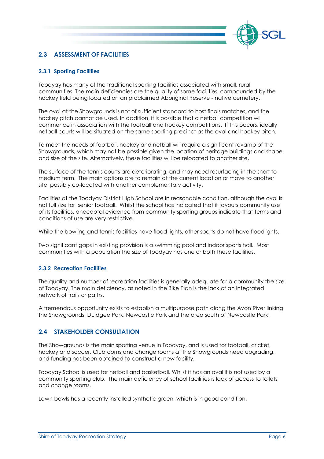

# 2.3 ASSESSMENT OF FACILITIES

#### 2.3.1 Sporting Facilities

Toodyay has many of the traditional sporting facilities associated with small, rural communities. The main deficiencies are the quality of some facilities, compounded by the hockey field being located on an proclaimed Aboriginal Reserve - native cemetery.

The oval at the Showgrounds is not of sufficient standard to host finals matches, and the hockey pitch cannot be used. In addition, it is possible that a netball competition will commence in association with the football and hockey competitions. If this occurs, ideally netball courts will be situated on the same sporting precinct as the oval and hockey pitch.

To meet the needs of football, hockey and netball will require a significant revamp of the Showgrounds, which may not be possible given the location of heritage buildings and shape and size of the site. Alternatively, these facilities will be relocated to another site.

The surface of the tennis courts are deteriorating, and may need resurfacing in the short to medium term. The main options are to remain at the current location or move to another site, possibly co-located with another complementary activity.

Facilities at the Toodyay District High School are in reasonable condition, although the oval is not full size for senior football. Whilst the school has indicated that it favours community use of its facilities, anecdotal evidence from community sporting groups indicate that terms and conditions of use are very restrictive.

While the bowling and tennis facilities have flood lights, other sports do not have floodlights.

Two significant gaps in existing provision is a swimming pool and indoor sports hall. Most communities with a population the size of Toodyay has one or both these facilities.

#### 2.3.2 Recreation Facilities

The quality and number of recreation facilities is generally adequate for a community the size of Toodyay. The main deficiency, as noted in the Bike Plan is the lack of an integrated network of trails or paths.

A tremendous opportunity exists to establish a multipurpose path along the Avon River linking the Showgrounds, Duidgee Park, Newcastle Park and the area south of Newcastle Park.

#### 2.4 STAKEHOLDER CONSULTATION

The Showgrounds is the main sporting venue in Toodyay, and is used for football, cricket, hockey and soccer. Clubrooms and change rooms at the Showgrounds need upgrading, and funding has been obtained to construct a new facility.

Toodyay School is used for netball and basketball. Whilst it has an oval it is not used by a community sporting club. The main deficiency of school facilities is lack of access to toilets and change rooms.

Lawn bowls has a recently installed synthetic green, which is in good condition.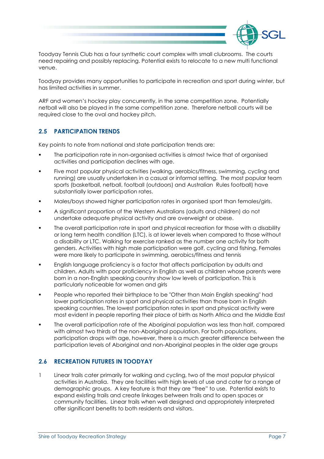

Toodyay Tennis Club has a four synthetic court complex with small clubrooms. The courts need repairing and possibly replacing. Potential exists to relocate to a new multi functional venue.

Toodyay provides many opportunities to participate in recreation and sport during winter, but has limited activities in summer.

ARF and women's hockey play concurrently, in the same competition zone. Potentially netball will also be played in the same competition zone. Therefore netball courts will be required close to the oval and hockey pitch.

# 2.5 PARTICIPATION TRENDS

Key points to note from national and state participation trends are:

- The participation rate in non-organised activities is almost twice that of organised activities and participation declines with age.
- Five most popular physical activities (walking, aerobics/fitness, swimming, cycling and running) are usually undertaken in a casual or informal setting. The most popular team sports (basketball, netball, football (outdoors) and Australian Rules football) have substantially lower participation rates.
- **Males/boys showed higher participation rates in organised sport than females/girls.**
- A significant proportion of the Western Australians (adults and children) do not undertake adequate physical activity and are overweight or obese.
- The overall participation rate in sport and physical recreation for those with a disability or long term health condition (LTC), is at lower levels when compared to those without a disability or LTC. Walking for exercise ranked as the number one activity for both genders. Activities with high male participation were golf, cycling and fishing. Females were more likely to participate in swimming, aerobics/fitness and tennis
- English language proficiency is a factor that affects participation by adults and children. Adults with poor proficiency in English as well as children whose parents were born in a non-English speaking country show low levels of participation. This is particularly noticeable for women and girls
- People who reported their birthplace to be "Other than Main English speaking" had lower participation rates in sport and physical activities than those born in English speaking countries. The lowest participation rates in sport and physical activity were most evident in people reporting their place of birth as North Africa and the Middle East
- The overall participation rate of the Aboriginal population was less than half, compared with almost two thirds of the non-Aboriginal population. For both populations, participation drops with age, however, there is a much greater difference between the participation levels of Aboriginal and non-Aboriginal peoples in the older age groups

# 2.6 RECREATION FUTURES IN TOODYAY

1 Linear trails cater primarily for walking and cycling, two of the most popular physical activities in Australia. They are facilities with high levels of use and cater for a range of demographic groups. A key feature is that they are "free" to use. Potential exists to expand existing trails and create linkages between trails and to open spaces or community facilities. Linear trails when well designed and appropriately interpreted offer significant benefits to both residents and visitors.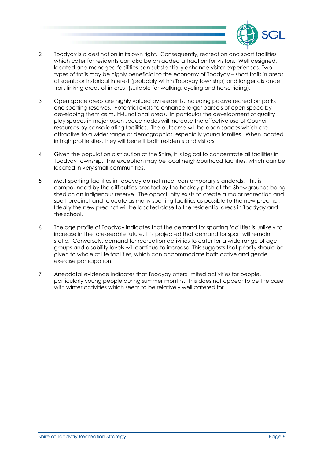

- 2 Toodyay is a destination in its own right. Consequently, recreation and sport facilities which cater for residents can also be an added attraction for visitors. Well designed, located and managed facilities can substantially enhance visitor experiences. Two types of trails may be highly beneficial to the economy of Toodyay – short trails in areas of scenic or historical interest (probably within Toodyay township) and longer distance trails linking areas of interest (suitable for walking, cycling and horse riding).
- 3 Open space areas are highly valued by residents, including passive recreation parks and sporting reserves. Potential exists to enhance larger parcels of open space by developing them as multi-functional areas. In particular the development of quality play spaces in major open space nodes will increase the effective use of Council resources by consolidating facilities. The outcome will be open spaces which are attractive to a wider range of demographics, especially young families. When located in high profile sites, they will benefit both residents and visitors.
- 4 Given the population distribution of the Shire, it is logical to concentrate all facilities in Toodyay township. The exception may be local neighbourhood facilities, which can be located in very small communities.
- 5 Most sporting facilities in Toodyay do not meet contemporary standards. This is compounded by the difficulties created by the hockey pitch at the Showgrounds being sited on an indigenous reserve. The opportunity exists to create a major recreation and sport precinct and relocate as many sporting facilities as possible to the new precinct. Ideally the new precinct will be located close to the residential areas in Toodyay and the school.
- 6 The age profile of Toodyay indicates that the demand for sporting facilities is unlikely to increase in the foreseeable future. It is projected that demand for sport will remain static. Conversely, demand for recreation activities to cater for a wide range of age groups and disability levels will continue to increase. This suggests that priority should be given to whole of life facilities, which can accommodate both active and gentle exercise participation.
- 7 Anecdotal evidence indicates that Toodyay offers limited activities for people, particularly young people during summer months. This does not appear to be the case with winter activities which seem to be relatively well catered for.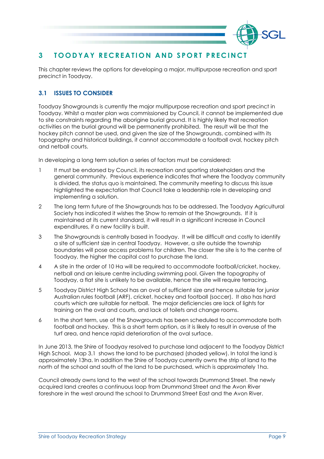

# 3 TOODYAY RECREATION AND SPORT PRECINCT

This chapter reviews the options for developing a major, multipurpose recreation and sport precinct in Toodyay.

# 3.1 ISSUES TO CONSIDER

Toodyay Showgrounds is currently the major multipurpose recreation and sport precinct in Toodyay. Whilst a master plan was commissioned by Council, it cannot be implemented due to site constraints regarding the aborigine burial ground. It is highly likely that recreation activities on the burial ground will be permanently prohibited. The result will be that the hockey pitch cannot be used, and given the size of the Showgrounds, combined with its topography and historical buildings, it cannot accommodate a football oval, hockey pitch and netball courts.

In developing a long term solution a series of factors must be considered:

- 1 It must be endorsed by Council, its recreation and sporting stakeholders and the general community. Previous experience indicates that where the Toodyay community is divided, the status quo is maintained. The community meeting to discuss this issue highlighted the expectation that Council take a leadership role in developing and implementing a solution.
- 2 The long term future of the Showgrounds has to be addressed. The Toodyay Agricultural Society has indicated it wishes the Show to remain at the Showgrounds. If it is maintained at its current standard, it will result in a significant increase in Council expenditures, if a new facility is built.
- 3 The Showgrounds is centrally based in Toodyay. It will be difficult and costly to identify a site of sufficient size in central Toodyay. However, a site outside the township boundaries will pose access problems for children. The closer the site is to the centre of Toodyay, the higher the capital cost to purchase the land.
- 4 A site in the order of 10 Ha will be required to accommodate football/cricket, hockey, netball and an leisure centre including swimming pool. Given the topography of Toodyay, a flat site is unlikely to be available, hence the site will require terracing.
- 5 Toodyay District High School has an oval of sufficient size and hence suitable for junior Australian rules football (ARF), cricket, hockey and football (soccer). It also has hard courts which are suitable for netball. The major deficiencies are lack of lights for training on the oval and courts, and lack of toilets and change rooms.
- 6 In the short term, use of the Showgrounds has been scheduled to accommodate both football and hockey. This is a short term option, as it is likely to result in overuse of the turf area, and hence rapid deterioration of the oval surface.

In June 2013, the Shire of Toodyay resolved to purchase land adjacent to the Toodyay District High School. Map 3.1 shows the land to be purchased (shaded yellow). In total the land is approximately 13ha. In addition the Shire of Toodyay currently owns the strip of land to the north of the school and south of the land to be purchased, which is approximately 1ha.

Council already owns land to the west of the school towards Drummond Street. The newly acquired land creates a continuous loop from Drummond Street and the Avon River foreshore in the west around the school to Drummond Street East and the Avon River.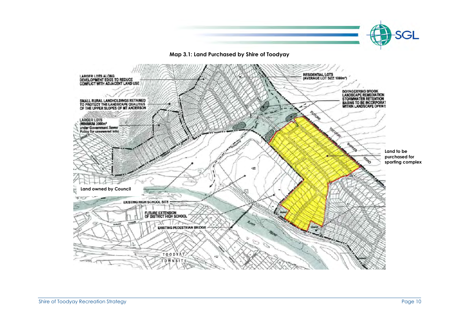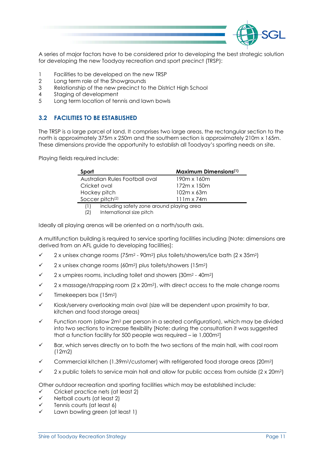

A series of major factors have to be considered prior to developing the best strategic solution for developing the new Toodyay recreation and sport precinct (TRSP):

- 1 Facilities to be developed on the new TRSP
- 2 Long term role of the Showgrounds
- 3 Relationship of the new precinct to the District High School
- 4 Staging of development
- 5 Long term location of tennis and lawn bowls

# 3.2 FACILITIES TO BE ESTABLISHED

The TRSP is a large parcel of land. It comprises two large areas, the rectangular section to the north is approximately 375m x 250m and the southern section is approximately 210m x 165m. These dimensions provide the opportunity to establish all Toodyay's sporting needs on site.

Playing fields required include:

| Sport                                            | <b>Maximum Dimensions</b> <sup>(1)</sup> |
|--------------------------------------------------|------------------------------------------|
| Australian Rules Football oval                   | 190m x 160m                              |
| Cricket oval                                     | 172m x 150m                              |
| Hockey pitch                                     | $102m \times 63m$                        |
| Soccer pitch <sup>(2)</sup>                      | $111m \times 74m$                        |
| including safety zone around playing area<br>(1) |                                          |

<sup>(2)</sup> International size pitch

Ideally all playing arenas will be oriented on a north/south axis.

A multifunction building is required to service sporting facilities including [Note: dimensions are derived from an AFL guide to developing facilities]:

- $\checkmark$ 2 x unisex change rooms (75m2 - 90m2) plus toilets/showers/ice bath (2 x 35m2)
- $\checkmark$ 2 x unisex change rooms (60m2) plus toilets/showers (15m2)
- $\cdot$ 2 x umpires rooms, including toilet and showers (30m2 - 40m2)
- $\checkmark$ 2 x massage/strapping room (2 x 20m2), with direct access to the male change rooms
- $\cdot$ Timekeepers box (15m2)
- $\checkmark$  Kiosk/servery overlooking main oval (size will be dependent upon proximity to bar, kitchen and food storage areas)
- $\checkmark$  Function room (allow 2m2 per person in a seated configuration), which may be divided into two sections to increase flexibility [Note: during the consultation it was suggested that a function facility for 500 people was required – ie 1,000m2]
- $\overline{\mathcal{L}}$  Bar, which serves directly on to both the two sections of the main hall, with cool room (12m2)
- $\checkmark$ Commercial kitchen (1.39m2/customer) with refrigerated food storage areas (20m2)
- $\checkmark$ 2 x public toilets to service main hall and allow for public access from outside (2 x 20m2)

Other outdoor recreation and sporting facilities which may be established include:

- $\checkmark$ Cricket practice nets (at least 2)
- $\checkmark$ Netball courts (at least 2)
- $\cdot$ Tennis courts (at least 6)
- $\checkmark$ Lawn bowling green (at least 1)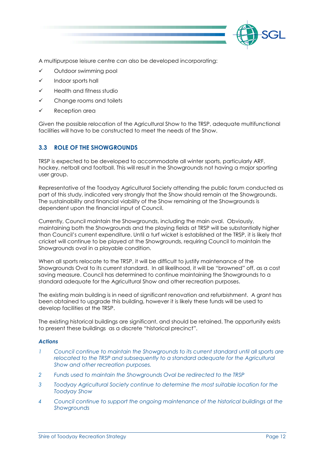

A multipurpose leisure centre can also be developed incorporating:

- $\checkmark$ Outdoor swimming pool
- $\checkmark$ Indoor sports hall
- $\checkmark$ Health and fitness studio
- -Change rooms and toilets
- $\checkmark$ Reception area

Given the possible relocation of the Agricultural Show to the TRSP, adequate multifunctional facilities will have to be constructed to meet the needs of the Show.

# 3.3 ROLE OF THE SHOWGROUNDS

TRSP is expected to be developed to accommodate all winter sports, particularly ARF, hockey, netball and football. This will result in the Showgrounds not having a major sporting user group.

Representative of the Toodyay Agricultural Society attending the public forum conducted as part of this study, indicated very strongly that the Show should remain at the Showgrounds. The sustainability and financial viability of the Show remaining at the Showgrounds is dependent upon the financial input of Council.

Currently, Council maintain the Showgrounds, including the main oval. Obviously, maintaining both the Showgrounds and the playing fields at TRSP will be substantially higher than Council's current expenditure. Until a turf wicket is established at the TRSP, it is likely that cricket will continue to be played at the Showgrounds, requiring Council to maintain the Showgrounds oval in a playable condition.

When all sports relocate to the TRSP, it will be difficult to justify maintenance of the Showgrounds Oval to its current standard. In all likelihood, it will be "browned" off, as a cost saving measure. Council has determined to continue maintaining the Showgrounds to a standard adequate for the Agricultural Show and other recreation purposes.

The existing main building is in need of significant renovation and refurbishment. A grant has been obtained to upgrade this building, however it is likely these funds will be used to develop facilities at the TRSP.

The existing historical buildings are significant, and should be retained. The opportunity exists to present these buildings as a discrete "historical precinct".

#### Actions

- 1 Council continue to maintain the Showgrounds to its current standard until all sports are relocated to the TRSP and subsequently to a standard adequate for the Agricultural Show and other recreation purposes.
- 2 Funds used to maintain the Showgrounds Oval be redirected to the TRSP
- 3 Toodyay Agricultural Society continue to determine the most suitable location for the Toodyay Show
- 4 Council continue to support the ongoing maintenance of the historical buildings at the **Showgrounds**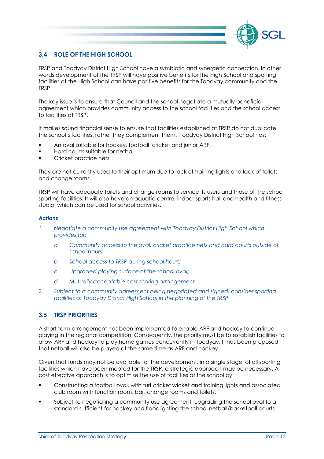

# 3.4 ROLE OF THE HIGH SCHOOL

TRSP and Toodyay District High School have a symbiotic and synergetic connection. In other words development of the TRSP will have positive benefits for the High School and sporting facilities at the High School can have positive benefits for the Toodyay community and the TRSP.

The key issue is to ensure that Council and the school negotiate a mutually beneficial agreement which provides community access to the school facilities and the school access to facilities at TRSP.

It makes sound financial sense to ensure that facilities established at TRSP do not duplicate the school's facilities, rather they complement them. Toodyay District High School has:

- An oval suitable for hockey, football, cricket and junior ARF.
- Hard courts suitable for netball
- Cricket practice nets

They are not currently used to their optimum due to lack of training lights and lack of toilets and change rooms.

TRSP will have adequate toilets and change rooms to service its users and those of the school sporting facilities. It will also have an aquatic centre, indoor sports hall and health and fitness studio, which can be used for school activities.

#### Actions

- 1 Negotiate a community use agreement with Toodyay District High School which provides for:
	- a Community access to the oval, cricket practice nets and hard courts outside of school hours;
	- b School access to TRSP during school hours;
	- c Upgraded playing surface of the school oval;
	- d Mutually acceptable cost sharing arrangement.
- 2 Subject to a community agreement being negotiated and signed, consider sporting facilities at Toodyay District High School in the planning of the TRSP

# 3.5 TRSP PRIORITIES

A short term arrangement has been implemented to enable ARF and hockey to continue playing in the regional competition. Consequently, the priority must be to establish facilities to allow ARF and hockey to play home games concurrently in Toodyay. It has been proposed that netball will also be played at the same time as ARF and hockey.

Given that funds may not be available for the development, in a single stage, of all sporting facilities which have been mooted for the TRSP, a strategic approach may be necessary. A cost effective approach is to optimise the use of facilities at the school by:

- Constructing a football oval, with turf cricket wicket and training lights and associated club room with function room, bar, change rooms and toilets.
- Subject to negotiating a community use agreement, upgrading the school oval to a standard sufficient for hockey and floodlighting the school netball/basketball courts.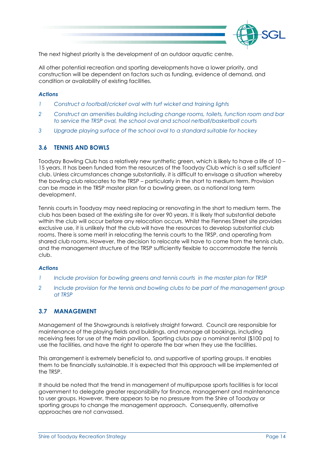

The next highest priority is the development of an outdoor aquatic centre.

All other potential recreation and sporting developments have a lower priority, and construction will be dependent on factors such as funding, evidence of demand, and condition or availability of existing facilities.

#### Actions

- Construct a football/cricket oval with turf wicket and training lights
- 2 Construct an amenities building including change rooms, toilets, function room and bar to service the TRSP oval, the school oval and school netball/basketball courts
- 3 Upgrade playing surface of the school oval to a standard suitable for hockey

#### 3.6 TENNIS AND BOWLS

Toodyay Bowling Club has a relatively new synthetic green, which is likely to have a life of 10 – 15 years. It has been funded from the resources of the Toodyay Club which is a self sufficient club. Unless circumstances change substantially, it is difficult to envisage a situation whereby the bowling club relocates to the TRSP – particularly in the short to medium term. Provision can be made in the TRSP master plan for a bowling green, as a notional long term development.

Tennis courts in Toodyay may need replacing or renovating in the short to medium term. The club has been based at the existing site for over 90 years. It is likely that substantial debate within the club will occur before any relocation occurs. Whilst the Fiennes Street site provides exclusive use, it is unlikely that the club will have the resources to develop substantial club rooms. There is some merit in relocating the tennis courts to the TRSP, and operating from shared club rooms. However, the decision to relocate will have to come from the tennis club, and the management structure of the TRSP sufficiently flexible to accommodate the tennis club.

#### Actions

- 1 Include provision for bowling greens and tennis courts in the master plan for TRSP
- 2 Include provision for the tennis and bowling clubs to be part of the management group at TRSP

# 3.7 MANAGEMENT

Management of the Showgrounds is relatively straight forward. Council are responsible for maintenance of the playing fields and buildings, and manage all bookings, including receiving fees for use of the main pavilion. Sporting clubs pay a nominal rental (\$100 pa) to use the facilities, and have the right to operate the bar when they use the facilities.

This arrangement is extremely beneficial to, and supportive of sporting groups. It enables them to be financially sustainable. It is expected that this approach will be implemented at the TRSP.

It should be noted that the trend in management of multipurpose sports facilities is for local government to delegate greater responsibility for finance, management and maintenance to user groups. However, there appears to be no pressure from the Shire of Toodyay or sporting groups to change the management approach. Consequently, alternative approaches are not canvassed.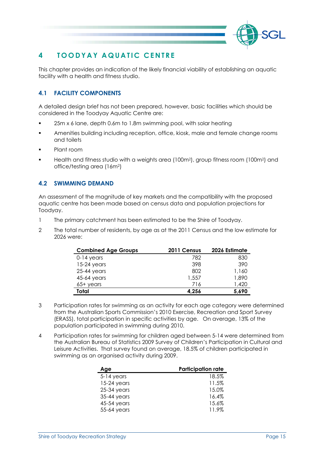

# 4 TOODYAY AQUATIC CENTRE

This chapter provides an indication of the likely financial viability of establishing an aquatic facility with a health and fitness studio.

# 4.1 FACILITY COMPONENTS

A detailed design brief has not been prepared, however, basic facilities which should be considered in the Toodyay Aquatic Centre are:

- 25m x 6 lane, depth 0.6m to 1.8m swimming pool, with solar heating
- Amenities building including reception, office, kiosk, male and female change rooms and toilets
- Plant room
- Health and fitness studio with a weights area (100m2), group fitness room (100m2) and office/testing area (16m2)

# 4.2 SWIMMING DEMAND

An assessment of the magnitude of key markets and the compatibility with the proposed aquatic centre has been made based on census data and population projections for Toodyay.

- 1 The primary catchment has been estimated to be the Shire of Toodyay.
- 2 The total number of residents, by age as at the 2011 Census and the low estimate for 2026 were:

| <b>Combined Age Groups</b> | 2011 Census | 2026 Estimate |
|----------------------------|-------------|---------------|
| $0-14$ years               | 782         | 830           |
| $15-24$ years              | 398         | 390           |
| $25-44$ years              | 802         | 1,160         |
| 45-64 years                | 1,557       | 1,890         |
| $65+$ vears                | 716         | 1,420         |
| Total                      | 4.256       | 5,690         |

- 3 Participation rates for swimming as an activity for each age category were determined from the Australian Sports Commission's 2010 Exercise, Recreation and Sport Survey (ERASS), total participation in specific activities by age. On average, 13% of the population participated in swimming during 2010.
- 4 Participation rates for swimming for children aged between 5-14 were determined from the Australian Bureau of Statistics 2009 Survey of Children's Participation in Cultural and Leisure Activities. That survey found on average, 18.5% of children participated in swimming as an organised activity during 2009.

| Age           | <b>Participation rate</b> |
|---------------|---------------------------|
| $5-14$ years  | 18.5%                     |
| $15-24$ years | 11.5%                     |
| $25-34$ years | 15.0%                     |
| 35-44 years   | 16.4%                     |
| 45-54 years   | 15.6%                     |
| 55-64 years   | 11.9%                     |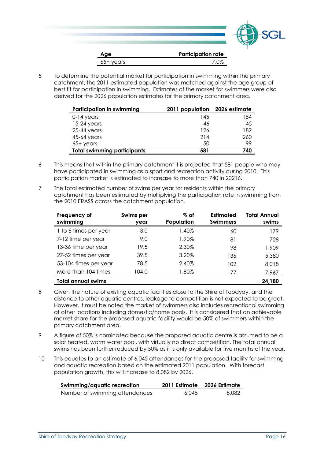

5 To determine the potential market for participation in swimming within the primary catchment, the 2011 estimated population was matched against the age group of best fit for participation in swimming. Estimates of the market for swimmers were also derived for the 2026 population estimates for the primary catchment area.

| Participation in swimming          | 2011 population | 2026 estimate |
|------------------------------------|-----------------|---------------|
| $0-14$ years                       | 145             | 154           |
| $15-24$ years                      | 46              | 45            |
| $25-44$ years                      | 126             | 182           |
| 45-64 years                        | 214             | 260           |
| $65+$ vears                        | 50              | 99            |
| <b>Total swimming participants</b> | 581             | 740           |

- 6 This means that within the primary catchment it is projected that 581 people who may have participated in swimming as a sport and recreation activity during 2010. This participation market is estimated to increase to more than 740 in 20216.
- 7 The total estimated number of swims per year for residents within the primary catchment has been estimated by multiplying the participation rate in swimming from the 2010 ERASS across the catchment population.

| Frequency of<br>swimming     | Swims per<br>year | $\%$ of<br>Population | Estimated<br><b>Swimmers</b> | Total Annual<br>swims |
|------------------------------|-------------------|-----------------------|------------------------------|-----------------------|
| 1 to 6 times per year        | 3.0               | 1.40%                 | 60                           | 179                   |
| 7-12 time per year           | 9.0               | 1.90%                 | 81                           | 728                   |
| 13-36 time per year          | 19.5              | 2.30%                 | 98                           | 1,909                 |
| 27-52 times per year         | 39.5              | 3.20%                 | 136                          | 5,380                 |
| 53-104 times per year        | 78.5              | 2.40%                 | 102                          | 8,018                 |
| More than 104 times          | 104.0             | 1.80%                 | 77                           | 7,967                 |
| Total annual swims<br>24.180 |                   |                       |                              |                       |

- 8 Given the nature of existing aquatic facilities close to the Shire of Toodyay, and the distance to other aquatic centres, leakage to competition is not expected to be great. However, it must be noted the market of swimmers also includes recreational swimming at other locations including domestic/home pools. It is considered that an achievable market share for the proposed aquatic facility would be 50% of swimmers within the primary catchment area.
- 9 A figure of 50% is nominated because the proposed aquatic centre is assumed to be a solar heated, warm water pool, with virtually no direct competition. The total annual swims has been further reduced by 50% as it is only available for five months of the year.
- 10 This equates to an estimate of 6,045 attendances for the proposed facility for swimming and aquatic recreation based on the estimated 2011 population. With forecast population growth, this will increase to 8,082 by 2026.

| Swimming/aquatic recreation    | 2011 Estimate | 2026 Estimate |
|--------------------------------|---------------|---------------|
| Number of swimming attendances | 6.045         | 8.082         |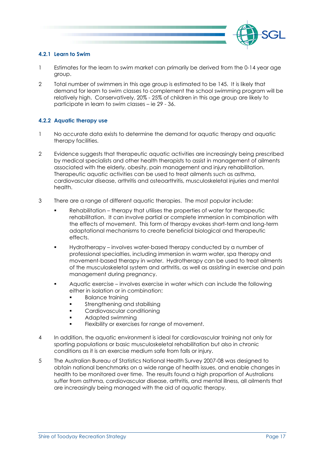

#### 4.2.1 Learn to Swim

- 1 Estimates for the learn to swim market can primarily be derived from the 0-14 year age group.
- 2 Total number of swimmers in this age group is estimated to be 145. It is likely that demand for learn to swim classes to complement the school swimming program will be relatively high. Conservatively, 20% - 25% of children in this age group are likely to participate in learn to swim classes – ie 29 - 36.

#### 4.2.2 Aquatic therapy use

- 1 No accurate data exists to determine the demand for aquatic therapy and aquatic therapy facilities.
- 2 Evidence suggests that therapeutic aquatic activities are increasingly being prescribed by medical specialists and other health therapists to assist in management of ailments associated with the elderly, obesity, pain management and injury rehabilitation. Therapeutic aquatic activities can be used to treat ailments such as asthma, cardiovascular disease, arthritis and osteoarthritis, musculoskeletal injuries and mental health.
- 3 There are a range of different aquatic therapies. The most popular include:
	- Rehabilitation therapy that utilises the properties of water for therapeutic rehabilitation. It can involve partial or complete immersion in combination with the effects of movement. This form of therapy evokes short-term and long-term adaptational mechanisms to create beneficial biological and therapeutic effects.
	- Hydrotherapy involves water-based therapy conducted by a number of professional specialties, including immersion in warm water, spa therapy and movement-based therapy in water. Hydrotherapy can be used to treat ailments of the musculoskeletal system and arthritis, as well as assisting in exercise and pain management during pregnancy.
	- Aquatic exercise involves exercise in water which can include the following either in isolation or in combination:
		- Balance training
		- Strengthening and stabilising
		- Cardiovascular conditioning
		- Adapted swimming
		- Flexibility or exercises for range of movement.
- 4 In addition, the aquatic environment is ideal for cardiovascular training not only for sporting populations or basic musculoskeletal rehabilitation but also in chronic conditions as it is an exercise medium safe from falls or injury.
- 5 The Australian Bureau of Statistics National Health Survey 2007-08 was designed to obtain national benchmarks on a wide range of health issues, and enable changes in health to be monitored over time. The results found a high proportion of Australians suffer from asthma, cardiovascular disease, arthritis, and mental illness, all ailments that are increasingly being managed with the aid of aquatic therapy.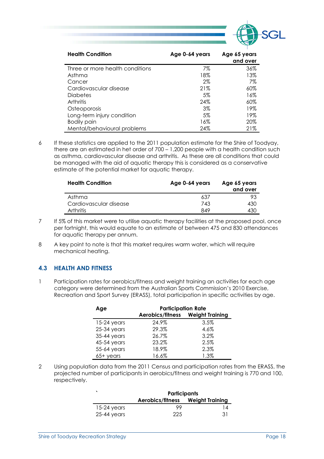

| <b>Health Condition</b>         | Age 0-64 years | Age 65 years<br>and over |
|---------------------------------|----------------|--------------------------|
| Three or more health conditions | 7%             | 36%                      |
| Asthma                          | 18%            | 13%                      |
| Cancer                          | $2\%$          | 7%                       |
| Cardiovascular disease          | 21%            | 60%                      |
| <b>Diabetes</b>                 | 5%             | 16%                      |
| Arthritis                       | 24%            | $60\%$                   |
| Osteoporosis                    | 3%             | 19%                      |
| Long-term injury condition      | 5%             | 19%                      |
| <b>Bodily pain</b>              | 16%            | 20%                      |
| Mental/behavioural problems     | 24%            | 21%                      |

6 If these statistics are applied to the 2011 population estimate for the Shire of Toodyay, there are an estimated in het order of 700 – 1,200 people with a health condition such as asthma, cardiovascular disease and arthritis. As these are all conditions that could be managed with the aid of aquatic therapy this is considered as a conservative estimate of the potential market for aquatic therapy.

| <b>Health Condition</b> | Age 0-64 years | Age 65 years<br>and over |
|-------------------------|----------------|--------------------------|
| Asthma                  | 637            | 93                       |
| Cardiovascular disease  | 743            | 430                      |
| <b>Arthritis</b>        | 849            | 430                      |

- 7 If 5% of this market were to utilise aquatic therapy facilities at the proposed pool, once per fortnight, this would equate to an estimate of between 475 and 830 attendances for aquatic therapy per annum.
- 8 A key point to note is that this market requires warm water, which will require mechanical heating.

# 4.3 HEALTH AND FITNESS

1 Participation rates for aerobics/fitness and weight training an activities for each age category were determined from the Australian Sports Commission's 2010 Exercise, Recreation and Sport Survey (ERASS), total participation in specific activities by age.

| Age           | <b>Participation Rate</b> |                        |  |
|---------------|---------------------------|------------------------|--|
|               | Aerobics/fitness          | <b>Weight Training</b> |  |
| $15-24$ years | 24.9%                     | 3.5%                   |  |
| $25-34$ years | 29.3%                     | 4.6%                   |  |
| 35-44 years   | 26.7%                     | 3.2%                   |  |
| 45-54 years   | 23.2%                     | 2.5%                   |  |
| 55-64 years   | 18.9%                     | 2.3%                   |  |
| $65+$ years   | 16.6%                     | 1.3%                   |  |

2 Using population data from the 2011 Census and participation rates from the ERASS, the projected number of participants in aerobics/fitness and weight training is 770 and 100, respectively.

|               | <b>Participants</b>              |     |  |
|---------------|----------------------------------|-----|--|
|               | Aerobics/fitness Weight Training |     |  |
| $15-24$ years | 99                               | 14  |  |
| $25-44$ years | 225                              | -31 |  |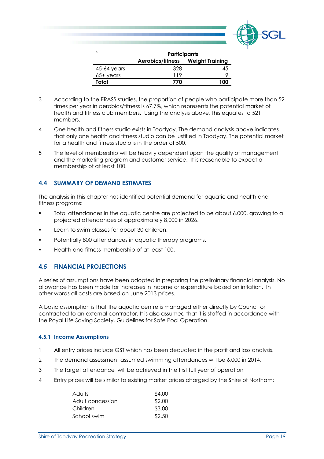

|             | <b>Participants</b>              |     |  |
|-------------|----------------------------------|-----|--|
|             | Aerobics/fitness Weight Training |     |  |
| 45-64 years | 328                              | 45  |  |
| $65+$ years | 119                              |     |  |
| Total       | 770                              | 100 |  |

- 3 According to the ERASS studies, the proportion of people who participate more than 52 times per year in aerobics/fitness is 67.7%, which represents the potential market of health and fitness club members. Using the analysis above, this equates to 521 members.
- 4 One health and fitness studio exists in Toodyay. The demand analysis above indicates that only one health and fitness studio can be justified in Toodyay. The potential market for a health and fitness studio is in the order of 500.
- 5 The level of membership will be heavily dependent upon the quality of management and the marketing program and customer service. It is reasonable to expect a membership of at least 100.

#### 4.4 SUMMARY OF DEMAND ESTIMATES

The analysis in this chapter has identified potential demand for aquatic and health and fitness programs:

- Total attendances in the aquatic centre are projected to be about 6.000, growing to a projected attendances of approximately 8,000 in 2026.
- Learn to swim classes for about 30 children.
- Potentially 800 attendances in aquatic therapy programs.
- **Health and fitness membership of at least 100.**

#### 4.5 FINANCIAL PROJECTIONS

A series of assumptions have been adopted in preparing the preliminary financial analysis. No allowance has been made for increases in income or expenditure based on inflation. In other words all costs are based on June 2013 prices.

A basic assumption is that the aquatic centre is managed either directly by Council or contracted to an external contractor. It is also assumed that it is staffed in accordance with the Royal Life Saving Society, Guidelines for Safe Pool Operation.

#### 4.5.1 Income Assumptions

- 1 All entry prices include GST which has been deducted in the profit and loss analysis.
- 2 The demand assessment assumed swimming attendances will be 6,000 in 2014.
- 3 The target attendance will be achieved in the first full year of operation
- 4 Entry prices will be similar to existing market prices charged by the Shire of Northam:

| Adults           | \$4.00 |
|------------------|--------|
| Adult concession | \$2.00 |
| Children         | \$3.00 |
| School swim      | \$2.50 |
|                  |        |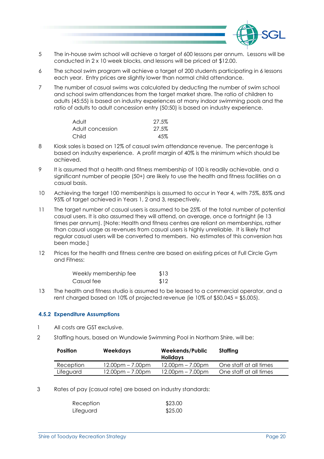

- 5 The in-house swim school will achieve a target of 600 lessons per annum. Lessons will be conducted in 2 x 10 week blocks, and lessons will be priced at \$12.00.
- 6 The school swim program will achieve a target of 200 students participating in 6 lessons each year. Entry prices are slightly lower than normal child attendance.
- 7 The number of casual swims was calculated by deducting the number of swim school and school swim attendances from the target market share. The ratio of children to adults (45:55) is based on industry experiences at many indoor swimming pools and the ratio of adults to adult concession entry (50:50) is based on industry experience.

| Adult            | 27.5% |
|------------------|-------|
| Adult concession | 27.5% |
| Child            | 45%   |

- 8 Kiosk sales is based on 12% of casual swim attendance revenue. The percentage is based on industry experience. A profit margin of 40% is the minimum which should be achieved.
- 9 It is assumed that a health and fitness membership of 100 is readily achievable, and a significant number of people (50+) are likely to use the health and fitness facilities on a casual basis.
- 10 Achieving the target 100 memberships is assumed to occur in Year 4, with 75%, 85% and 95% of target achieved in Years 1, 2 and 3, respectively.
- 11 The target number of casual users is assumed to be 25% of the total number of potential casual users. It is also assumed they will attend, on average, once a fortnight (ie 13 times per annum). [Note: Health and fitness centres are reliant on memberships, rather than casual usage as revenues from casual users is highly unreliable. It is likely that regular casual users will be converted to members. No estimates of this conversion has been made.]
- 12 Prices for the health and fitness centre are based on existing prices at Full Circle Gym and Fitness:

| Weekly membership fee | \$13 |
|-----------------------|------|
| Casual fee            | \$12 |

13 The health and fitness studio is assumed to be leased to a commercial operator, and a rent charged based on 10% of projected revenue (ie 10% of \$50,045 = \$5,005).

#### 4.5.2 Expenditure Assumptions

- All costs are GST exclusive.
- 2 Staffing hours, based on Wundowie Swimming Pool in Northam Shire, will be:

| <b>Position</b> | <b>Weekdays</b>    | Weekends/Public<br><b>Holidays</b> | Staffing               |
|-----------------|--------------------|------------------------------------|------------------------|
| Reception       | $12.00pm - 7.00pm$ | $12.00pm - 7.00pm$                 | One staff at all times |
| Lifeguard       | $12.00pm - 7.00pm$ | $12.00pm - 7.00pm$                 | One staff at all times |
|                 |                    |                                    |                        |

3 Rates of pay (casual rate) are based on industry standards:

| Reception | \$23.00 |
|-----------|---------|
| Lifeguard | \$25.00 |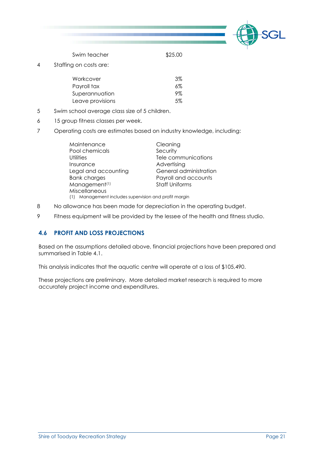

Swim teacher \$25.00

4 Staffing on costs are:

| Workcover        | .3% |
|------------------|-----|
| Payroll tax      | 6%  |
| Superannuation   | ୨%  |
| Leave provisions | .5% |

- 5 Swim school average class size of 5 children.
- 6 15 group fitness classes per week.
- 7 Operating costs are estimates based on industry knowledge, including:

| Maintenance                                              | Cleaning               |  |
|----------------------------------------------------------|------------------------|--|
| Pool chemicals                                           | Security               |  |
| Utilities                                                | Tele communications    |  |
| Insurance                                                | Advertising            |  |
| Legal and accounting                                     | General administration |  |
| <b>Bank charges</b>                                      | Payroll and accounts   |  |
| Management <sup>(1)</sup>                                | <b>Staff Uniforms</b>  |  |
| Miscellaneous                                            |                        |  |
| Management includes supervision and profit margin<br>(1) |                        |  |

- 8 No allowance has been made for depreciation in the operating budget.
- 9 Fitness equipment will be provided by the lessee of the health and fitness studio.

# 4.6 PROFIT AND LOSS PROJECTIONS

Based on the assumptions detailed above, financial projections have been prepared and summarised in Table 4.1.

This analysis indicates that the aquatic centre will operate at a loss of \$105,490.

These projections are preliminary. More detailed market research is required to more accurately project income and expenditures.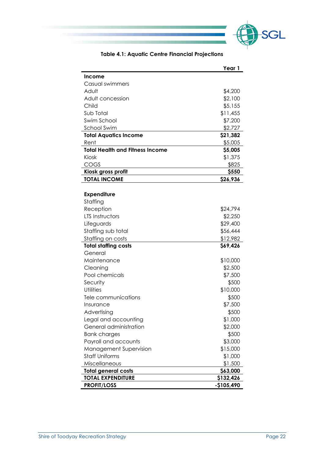

| Table 4.1: Aquatic Centre Financial Projections |  |
|-------------------------------------------------|--|
|-------------------------------------------------|--|

|                                        | Year 1      |
|----------------------------------------|-------------|
| <b>Income</b>                          |             |
| Casual swimmers                        |             |
| Adult                                  | \$4,200     |
| Adult concession                       | \$2,100     |
| Child                                  | \$5,155     |
| Sub Total                              | \$11,455    |
| Swim School                            | \$7,200     |
| <b>School Swim</b>                     | \$2,727     |
| <b>Total Aquatics Income</b>           | \$21,382    |
| Rent                                   | \$5,005     |
| <b>Total Health and Fitness Income</b> | \$5,005     |
| Kiosk                                  | \$1,375     |
| COGS                                   | \$825       |
| Kiosk gross profit                     | \$550       |
| <b>TOTAL INCOME</b>                    | \$26,936    |
|                                        |             |
| <b>Expenditure</b>                     |             |
| Staffing                               |             |
| Reception                              | \$24,794    |
| LTS Instructors                        | \$2,250     |
| Lifeguards                             | \$29,400    |
| Staffing sub total                     | \$56,444    |
| Staffing on costs                      | \$12,982    |
| <b>Total staffing costs</b>            | \$69,426    |
| General                                |             |
| Maintenance                            | \$10,000    |
| Cleaning                               | \$2,500     |
| Pool chemicals                         | \$7,500     |
| Security                               | \$500       |
| <b>Utilities</b>                       | \$10,000    |
| Tele communications                    | \$500       |
| Insurance                              | \$7,500     |
| Advertising                            | \$500       |
| Legal and accounting                   | \$1,000     |
| General administration                 | \$2,000     |
| <b>Bank charges</b>                    | \$500       |
| Payroll and accounts                   | \$3,000     |
| Management Supervision                 | \$15,000    |
| <b>Staff Uniforms</b>                  | \$1,000     |
| Miscellaneous                          | \$1,500     |
| <b>Total general costs</b>             | \$63,000    |
| <b>TOTAL EXPENDITURE</b>               | \$132,426   |
| <b>PROFIT/LOSS</b>                     | $-$105,490$ |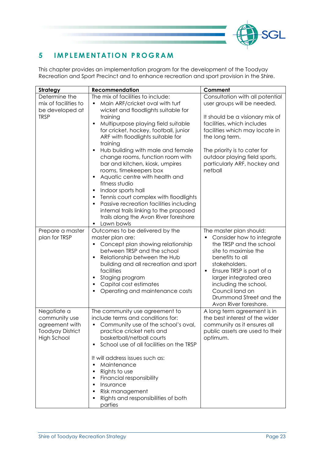

# 5 IMPLEMENTATION PROGRAM

This chapter provides an implementation program for the development of the Toodyay Recreation and Sport Precinct and to enhance recreation and sport provision in the Shire.

| <b>Strategy</b>                                                                   | <b>Recommendation</b>                                                                                                                                                                                                                                                                                                                                                                                                                                                                                                                                                                                                                                                                             | Comment                                                                                                                                                                                                                                                                                           |
|-----------------------------------------------------------------------------------|---------------------------------------------------------------------------------------------------------------------------------------------------------------------------------------------------------------------------------------------------------------------------------------------------------------------------------------------------------------------------------------------------------------------------------------------------------------------------------------------------------------------------------------------------------------------------------------------------------------------------------------------------------------------------------------------------|---------------------------------------------------------------------------------------------------------------------------------------------------------------------------------------------------------------------------------------------------------------------------------------------------|
| Determine the<br>mix of facilities to<br>be developed at<br><b>TRSP</b>           | The mix of facilities to include:<br>Main ARF/cricket oval with turf<br>wicket and floodlights suitable for<br>training<br>Multipurpose playing field suitable<br>Ξ<br>for cricket, hockey, football, junior<br>ARF with floodlights suitable for<br>training<br>Hub building with male and female<br>Ξ<br>change rooms, function room with<br>bar and kitchen, kiosk, umpires<br>rooms, timekeepers box<br>Aquatic centre with health and<br>Е<br>fitness studio<br>Indoor sports hall<br>п<br>Tennis court complex with floodlights<br>п<br>Passive recreation facilities including<br>п<br>internal trails linking to the proposed<br>trails along the Avon River foreshore<br>Lawn bowls<br>٠ | Consultation with all potential<br>user groups will be needed.<br>It should be a visionary mix of<br>facilities, which includes<br>facilities which may locate in<br>the long term.<br>The priority is to cater for<br>outdoor playing field sports,<br>particularly ARF, hockey and<br>netball   |
| Prepare a master<br>plan for TRSP                                                 | Outcomes to be delivered by the<br>master plan are:<br>Concept plan showing relationship<br>between TRSP and the school<br>Relationship between the Hub<br>п<br>building and all recreation and sport<br>facilities<br>Staging program<br>п<br>Capital cost estimates<br>٠<br>Operating and maintenance costs                                                                                                                                                                                                                                                                                                                                                                                     | The master plan should:<br>Consider how to integrate<br>the TRSP and the school<br>site to maximise the<br>benefits to all<br>stakeholders.<br>Ensure TRSP is part of a<br>larger integrated area<br>including the school,<br>Council land on<br>Drummond Street and the<br>Avon River foreshore. |
| Negotiate a<br>community use<br>agreement with<br>Toodyay District<br>High School | The community use agreement to<br>include terms and conditions for:<br>Community use of the school's oval,<br>٠<br>practice cricket nets and<br>basketball/netball courts<br>School use of all facilities on the TRSP<br>Ξ<br>It will address issues such as:<br>Maintenance<br>Ξ<br>Rights to use<br>п<br>Financial responsibility<br>п<br>Insurance<br>п<br>Risk management<br>٠<br>Rights and responsibilities of both<br>٠<br>parties                                                                                                                                                                                                                                                         | A long term agreement is in<br>the best interest of the wider<br>community as it ensures all<br>public assets are used to their<br>optimum.                                                                                                                                                       |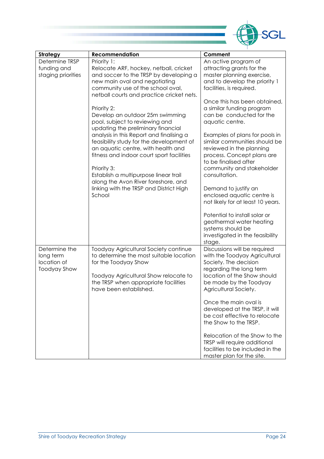

| Strategy            | <b>Recommendation</b>                     | Comment                                                          |
|---------------------|-------------------------------------------|------------------------------------------------------------------|
| Determine TRSP      | Priority 1:                               | An active program of                                             |
| funding and         | Relocate ARF, hockey, netball, cricket    | attracting grants for the                                        |
|                     |                                           |                                                                  |
| staging priorities  | and soccer to the TRSP by developing a    | master planning exercise,                                        |
|                     | new main oval and negotiating             | and to develop the priority 1                                    |
|                     | community use of the school oval,         | facilities, is required.                                         |
|                     | netball courts and practice cricket nets. |                                                                  |
|                     |                                           | Once this has been obtained,                                     |
|                     | Priority 2:                               | a similar funding program                                        |
|                     | Develop an outdoor 25m swimming           | can be conducted for the                                         |
|                     | pool, subject to reviewing and            | aquatic centre.                                                  |
|                     | updating the preliminary financial        |                                                                  |
|                     | analysis in this Report and finalising a  | Examples of plans for pools in                                   |
|                     | feasibility study for the development of  | similar communities should be                                    |
|                     | an aquatic centre, with health and        | reviewed in the planning                                         |
|                     | fitness and indoor court sport facilities | process. Concept plans are                                       |
|                     |                                           | to be finalised after                                            |
|                     | Priority 3:                               | community and stakeholder                                        |
|                     | Establish a multipurpose linear trail     | consultation.                                                    |
|                     | along the Avon River foreshore, and       |                                                                  |
|                     | linking with the TRSP and District High   | Demand to justify an                                             |
|                     | School                                    | enclosed aquatic centre is                                       |
|                     |                                           | not likely for at least 10 years.                                |
|                     |                                           |                                                                  |
|                     |                                           | Potential to install solar or                                    |
|                     |                                           | geothermal water heating                                         |
|                     |                                           | systems should be                                                |
|                     |                                           |                                                                  |
|                     |                                           | investigated in the feasibility                                  |
|                     |                                           | stage.                                                           |
| Determine the       | Toodyay Agricultural Society continue     | Discussions will be required                                     |
| long term           | to determine the most suitable location   | with the Toodyay Agricultural                                    |
| location of         | for the Toodyay Show                      | Society. The decision                                            |
| <b>Toodyay Show</b> |                                           | regarding the long term                                          |
|                     | Toodyay Agricultural Show relocate to     | location of the Show should                                      |
|                     | the TRSP when appropriate facilities      | be made by the Toodyay                                           |
|                     | have been established.                    | Agricultural Society.                                            |
|                     |                                           |                                                                  |
|                     |                                           | Once the main oval is                                            |
|                     |                                           | developed at the TRSP, it will                                   |
|                     |                                           | be cost effective to relocate                                    |
|                     |                                           | the Show to the TRSP.                                            |
|                     |                                           | Relocation of the Show to the                                    |
|                     |                                           |                                                                  |
|                     |                                           | TRSP will require additional<br>facilities to be included in the |
|                     |                                           |                                                                  |
|                     |                                           | master plan for the site.                                        |